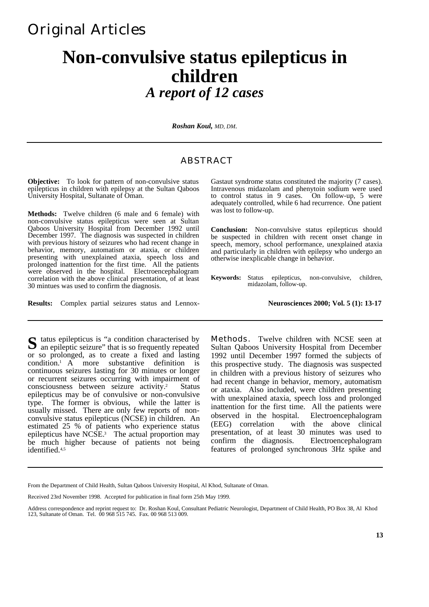## Original Articles

# **Non-convulsive status epilepticus in children** *A report of 12 cases*

*Roshan Koul, MD, DM.*

### ABSTRACT

**Objective:** To look for pattern of non-convulsive status epilepticus in children with epilepsy at the Sultan Qaboos University Hospital, Sultanate of Oman.

**Methods:** Twelve children (6 male and 6 female) with non-convulsive status epilepticus were seen at Sultan Qaboos University Hospital from December 1992 until December 1997. The diagnosis was suspected in children with previous history of seizures who had recent change in behavior, memory, automatism or ataxia, or children presenting with unexplained ataxia, speech loss and prolonged inattention for the first time. All the patients were observed in the hospital. Electroencephalogram correlation with the above clinical presentation, of at least 30 mintues was used to confirm the diagnosis.

**Results:** Complex partial seizures status and Lennox-

Gastaut syndrome status constituted the majority (7 cases). Intravenous midazolam and phenytoin sodium were used to control status in 9 cases. On follow-up, 5 were adequately controlled, while 6 had recurrence. One patient was lost to follow-up.

**Conclusion:** Non-convulsive status epilepticus should be suspected in children with recent onset change in speech, memory, school performance, unexplained ataxia and particularly in children with epilepsy who undergo an otherwise inexplicable change in behavior.

**Keywords:** Status epilepticus, non-convulsive, children, midazolam, follow-up.

#### **Neurosciences 2000; Vol. 5 (1): 13-17**

tatus epilepticus is "a condition characterised by S tatus epilepticus is "a condition characterised by an epileptic seizure" that is so frequently repeated or so prolonged, as to create a fixed and lasting condition.1 A more substantive definition is continuous seizures lasting for 30 minutes or longer or recurrent seizures occurring with impairment of consciousness between seizure activity.<sup>2</sup> Status epilepticus may be of convulsive or non-convulsive type. The former is obvious, while the latter is usually missed. There are only few reports of nonconvulsive status epilepticus (NCSE) in children. An estimated 25 % of patients who experience status epilepticus have NCSE.<sup>3</sup> The actual proportion may be much higher because of patients not being identified.4,5

**Methods.** Twelve children with NCSE seen at Sultan Qaboos University Hospital from December 1992 until December 1997 formed the subjects of this prospective study. The diagnosis was suspected in children with a previous history of seizures who had recent change in behavior, memory, automatism or ataxia. Also included, were children presenting with unexplained ataxia, speech loss and prolonged inattention for the first time. All the patients were observed in the hospital. Electroencephalogram (EEG) correlation with the above clinical presentation, of at least 30 minutes was used to confirm the diagnosis. Electroencephalogram features of prolonged synchronous 3Hz spike and

From the Department of Child Health, Sultan Qaboos University Hospital, Al Khod, Sultanate of Oman.

Received 23rd November 1998. Accepted for publication in final form 25th May 1999.

Address correspondence and reprint request to: Dr. Roshan Koul, Consultant Pediatric Neurologist, Department of Child Health, PO Box 38, Al Khod 123, Sultanate of Oman. Tel. 00 968 515 745. Fax. 00 968 513 009.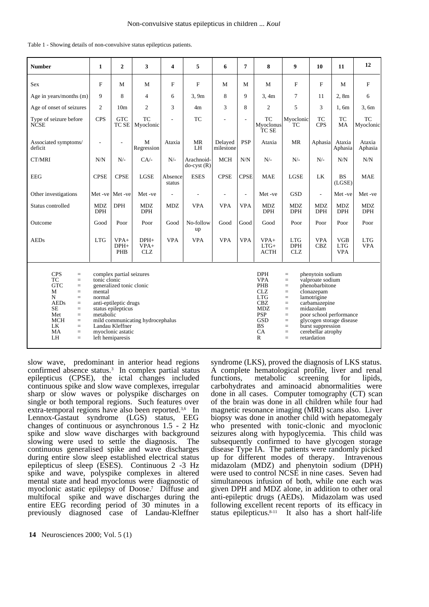| <b>Number</b>                                                                                                                                                                                                                                                                                                                                                                                                                                                              | $\mathbf{1}$             | $\overline{2}$                 | 3                              | 4                 | 5                          | 6                    | 7              | 8                                                                                                                                                      | 9                                                                                                                                                                                                                                                                                                                      | 10                       | 11                                     | 12                       |
|----------------------------------------------------------------------------------------------------------------------------------------------------------------------------------------------------------------------------------------------------------------------------------------------------------------------------------------------------------------------------------------------------------------------------------------------------------------------------|--------------------------|--------------------------------|--------------------------------|-------------------|----------------------------|----------------------|----------------|--------------------------------------------------------------------------------------------------------------------------------------------------------|------------------------------------------------------------------------------------------------------------------------------------------------------------------------------------------------------------------------------------------------------------------------------------------------------------------------|--------------------------|----------------------------------------|--------------------------|
| Sex                                                                                                                                                                                                                                                                                                                                                                                                                                                                        | $\mathbf{F}$             | М                              | M                              | $\mathbf F$       | $\mathbf{F}$               | M                    | М              | M                                                                                                                                                      | $\mathbf F$                                                                                                                                                                                                                                                                                                            | F                        | М                                      | F                        |
| Age in years/months (m)                                                                                                                                                                                                                                                                                                                                                                                                                                                    | 9                        | 8                              | $\overline{4}$                 | 6                 | 3,9m                       | 8                    | 9              | 3, 4m                                                                                                                                                  | 7                                                                                                                                                                                                                                                                                                                      | 11                       | 2,8m                                   | 6                        |
| Age of onset of seizures                                                                                                                                                                                                                                                                                                                                                                                                                                                   | $\overline{c}$           | 10 <sub>m</sub>                | $\overline{c}$                 | 3                 | 4 <sub>m</sub>             | 3                    | 8              | 2                                                                                                                                                      | 5                                                                                                                                                                                                                                                                                                                      | 3                        | 1.6m                                   | 3.6m                     |
| Type of seizure before<br><b>NCSE</b>                                                                                                                                                                                                                                                                                                                                                                                                                                      | <b>CPS</b>               | <b>GTC</b><br>TC SE            | <b>TC</b><br>Myoclonic         | ÷,                | <b>TC</b>                  | $\overline{a}$       | $\overline{a}$ | <b>TC</b><br>Myoclonus<br>TC SE                                                                                                                        | Myoclonic<br>TC                                                                                                                                                                                                                                                                                                        | TC<br><b>CPS</b>         | <b>TC</b><br>MA                        | <b>TC</b><br>Myoclonic   |
| Associated symptoms/<br>deficit                                                                                                                                                                                                                                                                                                                                                                                                                                            |                          |                                | M<br>Regression                | Ataxia            | <b>MR</b><br>LH            | Delayed<br>milestone | <b>PSP</b>     | Ataxia                                                                                                                                                 | <b>MR</b>                                                                                                                                                                                                                                                                                                              | Aphasia                  | Ataxia<br>Aphasia                      | Ataxia<br>Aphasia        |
| CT/MRI                                                                                                                                                                                                                                                                                                                                                                                                                                                                     | N/N                      | $N/-$                          | $CA/-$                         | $N/-$             | Arachnoid-<br>$do-cyst(R)$ | <b>MCH</b>           | N/N            | $N$ /-                                                                                                                                                 | $N/-$                                                                                                                                                                                                                                                                                                                  | $N$ /-                   | N/N                                    | N/N                      |
| EEG                                                                                                                                                                                                                                                                                                                                                                                                                                                                        | <b>CPSE</b>              | <b>CPSE</b>                    | LGSE                           | Absence<br>status | <b>ESES</b>                | <b>CPSE</b>          | <b>CPSE</b>    | <b>MAE</b>                                                                                                                                             | <b>LGSE</b>                                                                                                                                                                                                                                                                                                            | LK                       | <b>BS</b><br>(LGSE)                    | <b>MAE</b>               |
| Other investigations                                                                                                                                                                                                                                                                                                                                                                                                                                                       |                          | Met -ve   Met -ve              | Met -ve                        | $\overline{a}$    |                            | $\overline{a}$       | $\overline{a}$ | Met -ve                                                                                                                                                | <b>GSD</b>                                                                                                                                                                                                                                                                                                             | $\sim$                   | Met-ve                                 | Met-ve                   |
| Status controlled                                                                                                                                                                                                                                                                                                                                                                                                                                                          | <b>MDZ</b><br><b>DPH</b> | <b>DPH</b>                     | <b>MDZ</b><br><b>DPH</b>       | MDZ               | <b>VPA</b>                 | <b>VPA</b>           | VPA            | <b>MDZ</b><br><b>DPH</b>                                                                                                                               | MDZ<br><b>DPH</b>                                                                                                                                                                                                                                                                                                      | <b>MDZ</b><br><b>DPH</b> | <b>MDZ</b><br><b>DPH</b>               | <b>MDZ</b><br><b>DPH</b> |
| Outcome                                                                                                                                                                                                                                                                                                                                                                                                                                                                    | Good                     | Poor                           | Poor                           | Good              | No-follow<br>up            | Good                 | Good           | Good                                                                                                                                                   | Poor                                                                                                                                                                                                                                                                                                                   | Poor                     | Poor                                   | Poor                     |
| <b>AEDs</b>                                                                                                                                                                                                                                                                                                                                                                                                                                                                | <b>LTG</b>               | $VPA+$<br>$DPH+$<br><b>PHB</b> | $DPH+$<br>$VPA+$<br><b>CLZ</b> | <b>VPA</b>        | <b>VPA</b>                 | <b>VPA</b>           | <b>VPA</b>     | $VPA+$<br>$LTG+$<br><b>ACTH</b>                                                                                                                        | <b>LTG</b><br><b>DPH</b><br><b>CLZ</b>                                                                                                                                                                                                                                                                                 | <b>VPA</b><br><b>CBZ</b> | <b>VGB</b><br><b>LTG</b><br><b>VPA</b> | <b>LTG</b><br><b>VPA</b> |
| <b>CPS</b><br>complex partial seizures<br>$=$<br><b>TC</b><br>tonic clonic<br>$=$<br><b>GTC</b><br>generalized tonic clonic<br>$=$<br>M<br>mental<br>$=$<br>N<br>normal<br>$=$<br><b>AEDs</b><br>anti-eptileptic drugs<br>$=$<br><b>SE</b><br>status epilepticus<br>$=$<br>metabolic<br>Met<br>$=$<br><b>MCH</b><br>mild communicating hydrocephalus<br>$=$<br>LK<br>Landau Kleffner<br>$=$<br>MA<br>myoclonic astatic<br>$=$<br>LH<br>$\quad \  \  =$<br>left hemiparesis |                          |                                |                                |                   |                            |                      |                | <b>DPH</b><br><b>VPA</b><br>PHB<br><b>CLZ</b><br><b>LTG</b><br><b>CBZ</b><br><b>MDZ</b><br><b>PSP</b><br><b>GSD</b><br><b>BS</b><br>CA<br>$\mathbb{R}$ | phenytoin sodium<br>$=$<br>valproate sodium<br>$=$<br>phenobarbitone<br>$=$<br>clonazepam<br>$=$<br>lamotrigine<br>$=$<br>carbamazepine<br>$=$<br>midazolam<br>$=$<br>poor school performance<br>$=$<br>glycogen storage disease<br>$=$<br>burst suppression<br>$=$<br>cerebellar atrophy<br>$=$<br>retardation<br>$=$ |                          |                                        |                          |

Table 1 - Showing details of non-convulsive status epilepticus patients.

slow wave, predominant in anterior head regions confirmed absence status.<sup>3</sup> In complex partial status epilepticus (CPSE), the ictal changes included continuous spike and slow wave complexes, irregular sharp or slow waves or polyspike discharges on single or both temporal regions. Such features over extra-temporal regions have also been reported.<sup>3,6</sup> In Lennox-Gastaut syndrome (LGS) status, EEG changes of continuous or asynchronous 1.5 - 2 Hz spike and slow wave discharges with background slowing were used to settle the diagnosis. The continuous generalised spike and wave discharges during entire slow sleep established electrical status epilepticus of sleep (ESES). Continuous 2 -3 Hz spike and wave, polyspike complexes in altered mental state and head myoclonus were diagnostic of myoclonic astatic epilepsy of Doose.<sup>7</sup> Diffuse and multifocal spike and wave discharges during the entire EEG recording period of 30 minutes in a previously diagnosed case of Landau-Kleffner

A complete hematological profile, liver and renal functions, metabolic screening for lipids, carbohydrates and aminoacid abnormalities were done in all cases. Computer tomography (CT) scan of the brain was done in all children while four had magnetic resonance imaging (MRI) scans also. Liver biopsy was done in another child with hepatomegaly who presented with tonic-clonic and myoclonic seizures along with hypoglycemia. This child was subsequently confirmed to have glycogen storage disease Type IA. The patients were randomly picked up for different modes of therapy. Intravenous midazolam (MDZ) and phenytoin sodium (DPH) were used to control NCSE in nine cases. Seven had simultaneous infusion of both, while one each was given DPH and MDZ alone, in addition to other oral anti-epileptic drugs (AEDs). Midazolam was used following excellent recent reports of its efficacy in status epilepticus.<sup>8-11</sup> It also has a short half-life

syndrome (LKS), proved the diagnosis of LKS status.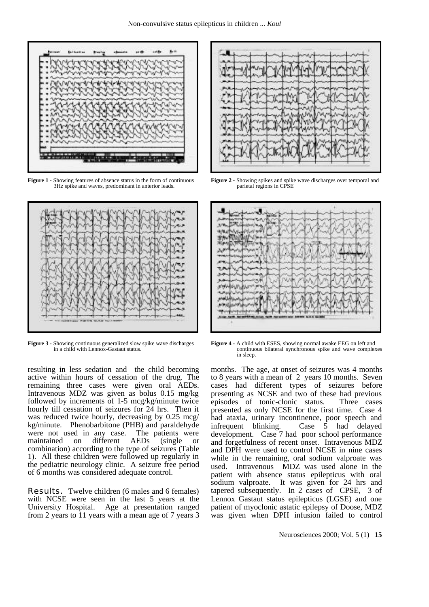

**Figure 1 -** Showing features of absence status in the form of continuous 3Hz spike and waves, predominant in anterior leads.



**Figure 3 -** Showing continuous generalized slow spike wave discharges in a child with Lennox-Gastaut status.

resulting in less sedation and the child becoming active within hours of cessation of the drug. The remaining three cases were given oral AEDs. Intravenous MDZ was given as bolus 0.15 mg/kg followed by increments of 1-5 mcg/kg/minute twice hourly till cessation of seizures for 24 hrs. Then it was reduced twice hourly, decreasing by 0.25 mcg/ kg/minute. Phenobarbitone (PHB) and paraldehyde were not used in any case. The patients were maintained on different AEDs (single or combination) according to the type of seizures (Table 1). All these children were followed up regularly in the pediatric neurology clinic. A seizure free period of 6 months was considered adequate control.

**Results.** Twelve children (6 males and 6 females) with NCSE were seen in the last 5 years at the University Hospital. Age at presentation ranged from 2 years to 11 years with a mean age of 7 years 3



**Figure 2 - Showing spikes and spike wave discharges over temporal and** parietal regions in CPSE



**Figure 4 -** A child with ESES, showing normal awake EEG on left and continuous bilateral synchronous spike and wave complexes in sleep.

months. The age, at onset of seizures was 4 months to 8 years with a mean of 2 years 10 months. Seven cases had different types of seizures before presenting as NCSE and two of these had previous episodes of tonic-clonic status. Three cases presented as only NCSE for the first time. Case 4 had ataxia, urinary incontinence, poor speech and infrequent blinking. Case 5 had delayed development. Case 7 had poor school performance and forgetfulness of recent onset. Intravenous MDZ and DPH were used to control NCSE in nine cases while in the remaining, oral sodium valproate was used. Intravenous MDZ was used alone in the patient with absence status epilepticus with oral sodium valproate. It was given for 24 hrs and tapered subsequently. In 2 cases of CPSE, 3 of Lennox Gastaut status epilepticus (LGSE) and one patient of myoclonic astatic epilepsy of Doose, MDZ was given when DPH infusion failed to control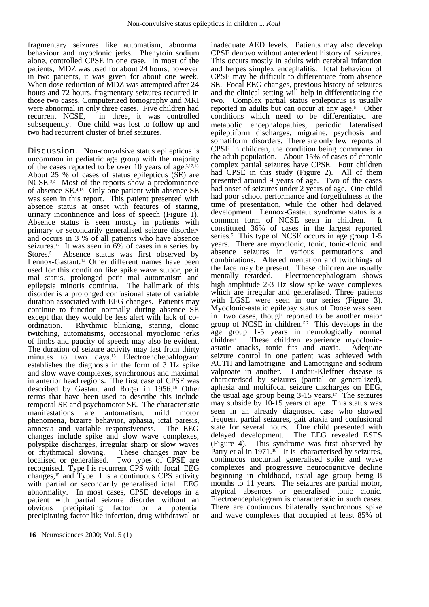fragmentary seizures like automatism, abnormal behaviour and myoclonic jerks. Phenytoin sodium alone, controlled CPSE in one case. In most of the patients, MDZ was used for about 24 hours, however in two patients, it was given for about one week. When dose reduction of MDZ was attempted after 24 hours and 72 hours, fragmentary seizures recurred in those two cases. Computerized tomography and MRI were abnormal in only three cases. Five children had recurrent NCSE, in three, it was controlled subsequently. One child was lost to follow up and two had recurrent cluster of brief seizures.

**Discussion.** Non-convulsive status epilepticus is uncommon in pediatric age group with the majority of the cases reported to be over 10 years of age.<sup>6,12,13</sup> About 25 % of cases of status epilepticus (SE) are NCSE.<sup>3,4</sup> Most of the reports show a predominance of absence SE.4,13 Only one patient with absence SE was seen in this report. This patient presented with absence status at onset with features of staring, urinary incontinence and loss of speech (Figure 1). Absence status is seen mostly in patients with primary or secondarily generalised seizure disorder<sup>2</sup> and occurs in 3 % of all patients who have absence seizures.12 It was seen in 6% of cases in a series by Stores.<sup>5</sup> Absence status was first observed by Lennox-Gastaut.<sup>14</sup> Other different names have been used for this condition like spike wave stupor, petit mal status, prolonged petit mal automatism and epilepsia minoris continua. The hallmark of this disorder is a prolonged confusional state of variable duration associated with EEG changes. Patients may continue to function normally during absence SE except that they would be less alert with lack of coordination. Rhythmic blinking, staring, clonic twitching, automatisms, occasional myoclonic jerks of limbs and paucity of speech may also be evident. The duration of seizure activity may last from thirty minutes to two days.<sup>15</sup> Electroenchepahlogram establishes the diagnosis in the form of  $\overline{3}$  Hz spike and slow wave complexes, synchronous and maximal in anterior head regions. The first case of CPSE was described by Gastaut and Roger in 1956.16 Other terms that have been used to describe this include temporal SE and psychomotor SE. The characteristic manifestations are automatism, mild motor phenomena, bizarre behavior, aphasia, ictal paresis, amnesia and variable responsiveness. changes include spike and slow wave complexes, polyspike discharges, irregular sharp or slow waves or rhythmical slowing. These changes may be localised or generalised. Two types of CPSE are recognised. Type I is recurrent CPS with focal EEG changes,15 and Type II is a continuous CPS activity with partial or secondarily generalised ictal EEG abnormality. In most cases, CPSE develops in a patient with partial seizure disorder without an obvious precipitating factor or a potential precipitating factor like infection, drug withdrawal or CPSE denovo without antecedent history of seizures. This occurs mostly in adults with cerebral infarction and herpes simplex encephalitis. Ictal behaviour of CPSE may be difficult to differentiate from absence SE. Focal EEG changes, previous history of seizures and the clinical setting will help in differentiating the two. Complex partial status epilepticus is usually reported in adults but can occur at any age.<sup>6</sup> Other conditions which need to be differentiated are metabolic encephalopathies, periodic lateralised epileptiform discharges, migraine, psychosis and somatiform disorders. There are only few reports of CPSE in children, the condition being commoner in the adult population. About 15% of cases of chronic complex partial seizures have CPSE. Four children had CPSE in this study (Figure 2). All of them presented around 9 years of age. Two of the cases had onset of seizures under 2 years of age. One child had poor school performance and forgetfulness at the time of presentation, while the other had delayed development. Lennox-Gastaut syndrome status is a common form of NCSE seen in children. It constituted 36% of cases in the largest reported series.<sup>5</sup> This type of NCSE occurs in age group 1-5 years. There are myoclonic, tonic, tonic-clonic and absence seizures in various permutations and combinations. Altered mentation and twitchings of the face may be present. These children are usually<br>mentally retarded. Electroencephalogram shows Electroencephalogram shows high amplitude 2-3 Hz slow spike wave complexes which are irregular and generalised. Three patients with LGSE were seen in our series (Figure 3). Myoclonic-astatic epilepsy status of Doose was seen in two cases, though reported to be another major group of NCSE in children.5,7 This develops in the age group 1-5 years in neurologically normal children. These children experience myoclonicastatic attacks, tonic fits and ataxia. Adequate seizure control in one patient was achieved with ACTH and lamotrigine and Lamotrigine and sodium valproate in another. Landau-Kleffner disease is characterised by seizures (partial or generalized), aphasia and multifocal seizure discharges on EEG, the usual age group being 3-15 years.17 The seizures may subside by 10-15 years of age. This status was seen in an already diagnosed case who showed frequent partial seizures, gait ataxia and confusional state for several hours. One child presented with delayed development. The EEG revealed ESES (Figure 4). This syndrome was first observed by Patry et al in 1971.<sup>18</sup> It is characterised by seizures, continuous nocturnal generalised spike and wave complexes and progressive neurocognitive decline beginning in childhood, usual age group being 8 months to 11 years. The seizures are partial motor, atypical absences or generalised tonic clonic. Electroencephalogram is characteristic in such cases. There are continuous bilaterally synchronous spike and wave complexes that occupied at least 85% of

inadequate AED levels. Patients may also develop